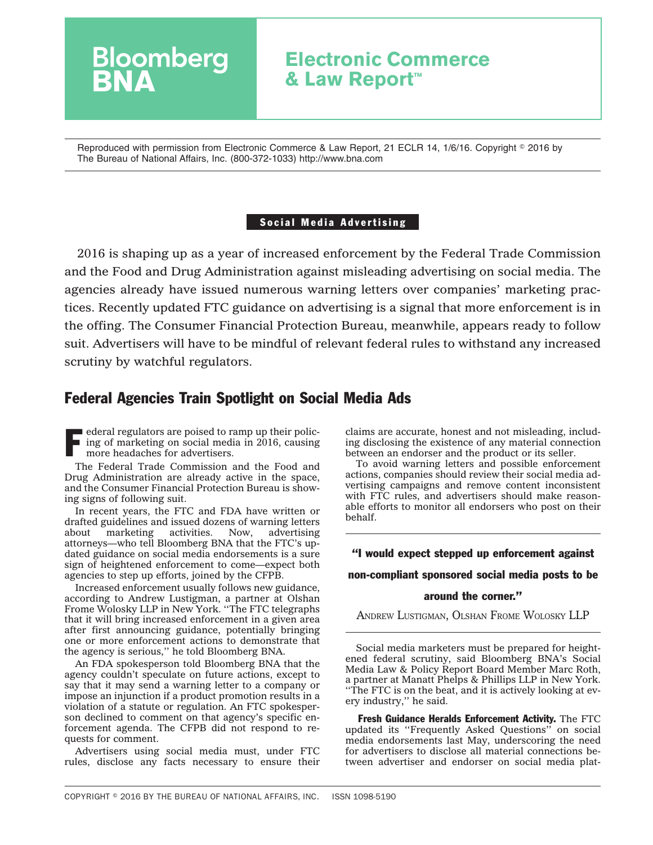## **Electronic Commerce & Law Report™**

Reproduced with permission from Electronic Commerce & Law Report, 21 ECLR 14, 1/6/16. Copyright © 2016 by The Bureau of National Affairs, Inc. (800-372-1033) http://www.bna.com

### Social Media Advertising

2016 is shaping up as a year of increased enforcement by the Federal Trade Commission and the Food and Drug Administration against misleading advertising on social media. The agencies already have issued numerous warning letters over companies' marketing practices. Recently updated FTC guidance on advertising is a signal that more enforcement is in the offing. The Consumer Financial Protection Bureau, meanwhile, appears ready to follow suit. Advertisers will have to be mindful of relevant federal rules to withstand any increased scrutiny by watchful regulators.

### Federal Agencies Train Spotlight on Social Media Ads

F ederal regulators are poised to ramp up their policing of marketing on social media in 2016, causing more headaches for advertisers. ing of marketing on social media in 2016, causing more headaches for advertisers.

**Bloomberg** 

The Federal Trade Commission and the Food and Drug Administration are already active in the space, and the Consumer Financial Protection Bureau is showing signs of following suit.

In recent years, the FTC and FDA have written or drafted guidelines and issued dozens of warning letters<br>about marketing activities. Now, advertising marketing activities. Now, advertising attorneys—who tell Bloomberg BNA that the FTC's updated guidance on social media endorsements is a sure sign of heightened enforcement to come—expect both agencies to step up efforts, joined by the CFPB.

Increased enforcement usually follows new guidance, according to Andrew Lustigman, a partner at Olshan Frome Wolosky LLP in New York. ''The FTC telegraphs that it will bring increased enforcement in a given area after first announcing guidance, potentially bringing one or more enforcement actions to demonstrate that the agency is serious,'' he told Bloomberg BNA.

An FDA spokesperson told Bloomberg BNA that the agency couldn't speculate on future actions, except to say that it may send a warning letter to a company or impose an injunction if a product promotion results in a violation of a statute or regulation. An FTC spokesperson declined to comment on that agency's specific enforcement agenda. The CFPB did not respond to requests for comment.

Advertisers using social media must, under FTC rules, disclose any facts necessary to ensure their claims are accurate, honest and not misleading, including disclosing the existence of any material connection between an endorser and the product or its seller.

To avoid warning letters and possible enforcement actions, companies should review their social media advertising campaigns and remove content inconsistent with FTC rules, and advertisers should make reasonable efforts to monitor all endorsers who post on their behalf.

### ''I would expect stepped up enforcement against

non-compliant sponsored social media posts to be

### around the corner.''

ANDREW LUSTIGMAN, OLSHAN FROME WOLOSKY LLP

Social media marketers must be prepared for heightened federal scrutiny, said Bloomberg BNA's Social Media Law & Policy Report Board Member Marc Roth, a partner at Manatt Phelps & Phillips LLP in New York. ''The FTC is on the beat, and it is actively looking at every industry,'' he said.

Fresh Guidance Heralds Enforcement Activity. The FTC updated its [''Frequently Asked Questions''](https://www.ftc.gov/tips-advice/business-center/guidance/ftcs-endorsement-guides-what-people-are-asking) on social media endorsements last May, underscoring the need for advertisers to disclose all material connections between advertiser and endorser on social media plat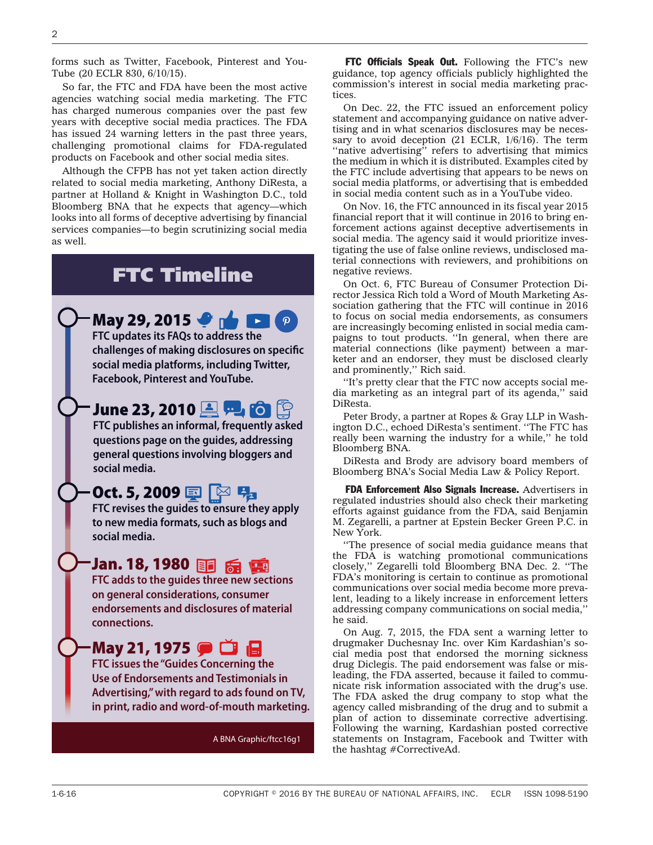forms such as Twitter, Facebook, Pinterest and You-Tube (20 ECLR 830, 6/10/15).

So far, the FTC and FDA have been the most active agencies watching social media marketing. The FTC has charged numerous companies over the past few years with deceptive social media practices. The FDA has issued 24 warning letters in the past three years, challenging promotional claims for FDA-regulated products on Facebook and other social media sites.

Although the CFPB has not yet taken action directly related to social media marketing, Anthony DiResta, a partner at Holland & Knight in Washington D.C., told Bloomberg BNA that he expects that agency—which looks into all forms of deceptive advertising by financial services companies—to begin scrutinizing social media as well.

# FTC Timeline

**May 29, 2015 FTC updates its FAQs to address the challenges of making disclosures on specific social media platforms, including Twitter, Facebook, Pinterest and YouTube.** 

**June 23, 2010 FTC publishes an informal, frequently asked questions page on the guides, addressing general questions involving bloggers and social media.**

# **Oct. 5, 2009 国 图 뭐**

**FTC revises the guides to ensure they apply to new media formats, such as blogs and social media.**

## **Jan. 18, 1980**

**FTC adds to the guides three new sections on general considerations, consumer endorsements and disclosures of material connections.**

## **May 21, 1975** ● □ 日

**FTC issues the "Guides Concerning the Use of Endorsements and Testimonials in Advertising," with regard to ads found on TV, in print, radio and word-of-mouth marketing.**

A BNA Graphic/ftcc16g1

FTC Officials Speak Out. Following the FTC's new guidance, top agency officials publicly highlighted the commission's interest in social media marketing practices.

On Dec. 22, the FTC issued an [enforcement policy](https://www.ftc.gov/system/files/documents/public_statements/896923/151222deceptiveenforcement.pdf) [statement](https://www.ftc.gov/system/files/documents/public_statements/896923/151222deceptiveenforcement.pdf) and accompanying [guidance](https://www.ftc.gov/tips-advice/business-center/guidance/native-advertising-guide-businesses) on native advertising and in what scenarios disclosures may be necessary to avoid deception (21 ECLR, 1/6/16). The term "native advertising" refers to advertising that mimics the medium in which it is distributed. Examples cited by the FTC include advertising that appears to be news on social media platforms, or advertising that is embedded in social media content such as in a YouTube video.

On Nov. 16, the FTC announced in its [fiscal year 2015](https://www.ftc.gov/system/files/documents/reports/agency-financial-report-fy2015/151116afr_0.pdf) [financial report](https://www.ftc.gov/system/files/documents/reports/agency-financial-report-fy2015/151116afr_0.pdf) that it will continue in 2016 to bring enforcement actions against deceptive advertisements in social media. The agency said it would prioritize investigating the use of false online reviews, undisclosed material connections with reviewers, and prohibitions on negative reviews.

On Oct. 6, FTC Bureau of Consumer Protection Director Jessica Rich told a Word of Mouth Marketing Association gathering that the FTC will continue in 2016 to focus on social media endorsements, as consumers are increasingly becoming enlisted in social media campaigns to tout products. ''In general, when there are material connections (like payment) between a marketer and an endorser, they must be disclosed clearly and prominently,'' Rich said.

''It's pretty clear that the FTC now accepts social media marketing as an integral part of its agenda,'' said DiResta.

Peter Brody, a partner at Ropes & Gray LLP in Washington D.C., echoed DiResta's sentiment. ''The FTC has really been warning the industry for a while,'' he told Bloomberg BNA.

DiResta and Brody are advisory board members of Bloomberg BNA's Social Media Law & Policy Report.

FDA Enforcement Also Signals Increase. Advertisers in regulated industries should also check their marketing efforts against guidance from the FDA, said Benjamin M. Zegarelli, a partner at Epstein Becker Green P.C. in New York.

''The presence of social media guidance means that the FDA is watching promotional communications closely,'' Zegarelli told Bloomberg BNA Dec. 2. ''The FDA's monitoring is certain to continue as promotional communications over social media become more prevalent, leading to a likely increase in enforcement letters addressing company communications on social media,'' he said.

On Aug. 7, 2015, the FDA sent a [warning letter](http://www.fda.gov/downloads/Drugs/GuidanceComplianceRegulatoryInformation/EnforcementActivitiesbyFDA/WarningLettersandNoticeofViolationLetterstoPharmaceuticalCompanies/UCM457961.pdf) to drugmaker Duchesnay Inc. over Kim Kardashian's social media post that endorsed the morning sickness drug Diclegis. The paid endorsement was false or misleading, the FDA asserted, because it failed to communicate risk information associated with the drug's use. The FDA asked the drug company to stop what the agency called misbranding of the drug and to submit a plan of action to disseminate corrective advertising. Following the warning, Kardashian posted corrective statements on Instagram, Facebook and Twitter with the hashtag #CorrectiveAd.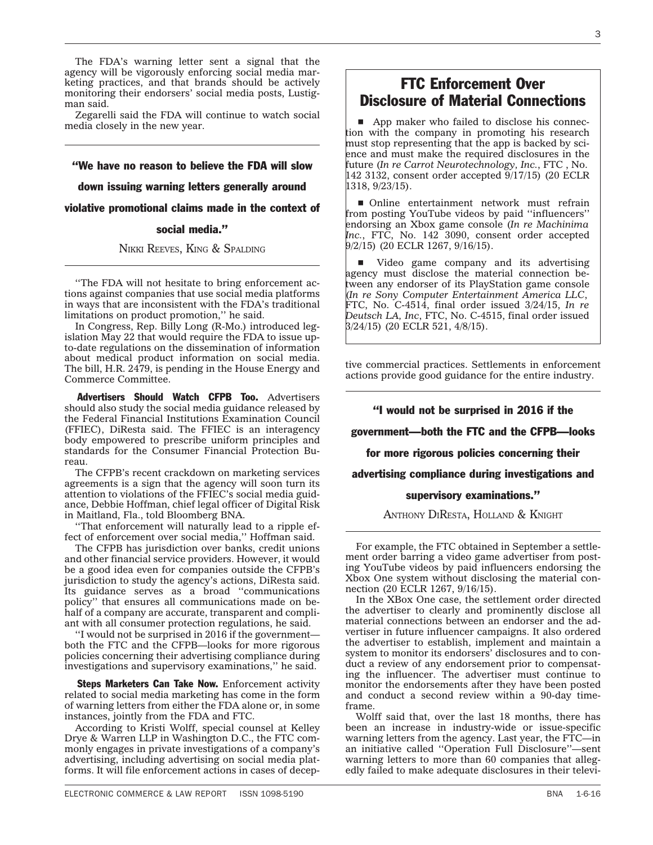The FDA's warning letter sent a signal that the agency will be vigorously enforcing social media marketing practices, and that brands should be actively monitoring their endorsers' social media posts, Lustigman said.

Zegarelli said the FDA will continue to watch social media closely in the new year.

''We have no reason to believe the FDA will slow

down issuing warning letters generally around

violative promotional claims made in the context of

### social media.''

NIKKI REEVES, KING & SPALDING

''The FDA will not hesitate to bring enforcement actions against companies that use social media platforms in ways that are inconsistent with the FDA's traditional limitations on product promotion,'' he said.

In Congress, Rep. Billy Long (R-Mo.) introduced [leg](https://www.congress.gov/bill/114th-congress/house-bill/2479)[islation](https://www.congress.gov/bill/114th-congress/house-bill/2479) May 22 that would require the FDA to issue upto-date regulations on the dissemination of information about medical product information on social media. The bill, H.R. 2479, is pending in the House Energy and Commerce Committee.

Advertisers Should Watch CFPB Too. Advertisers should also study the social media guidance released by the Federal Financial Institutions Examination Council (FFIEC), DiResta said. The FFIEC is an interagency body empowered to prescribe uniform principles and standards for the Consumer Financial Protection Bureau.

The CFPB's recent crackdown on marketing services agreements is a sign that the agency will soon turn its attention to violations of the FFIEC's social media guidance, Debbie Hoffman, chief legal officer of Digital Risk in Maitland, Fla., told Bloomberg BNA.

''That enforcement will naturally lead to a ripple effect of enforcement over social media,'' Hoffman said.

The CFPB has jurisdiction over banks, credit unions and other financial service providers. However, it would be a good idea even for companies outside the CFPB's jurisdiction to study the agency's actions, DiResta said. Its guidance serves as a broad ''communications policy'' that ensures all communications made on behalf of a company are accurate, transparent and compliant with all consumer protection regulations, he said.

''I would not be surprised in 2016 if the government both the FTC and the CFPB—looks for more rigorous policies concerning their advertising compliance during investigations and supervisory examinations,'' he said.

Steps Marketers Can Take Now. Enforcement activity related to social media marketing has come in the form of warning letters from either the FDA alone or, in some instances, jointly from the FDA and FTC.

According to Kristi Wolff, special counsel at Kelley Drye & Warren LLP in Washington D.C., the FTC commonly engages in private investigations of a company's advertising, including advertising on social media platforms. It will file enforcement actions in cases of decep-

### FTC Enforcement Over Disclosure of Material Connections

App maker who failed to disclose his connection with the company in promoting his research must stop representing that the app is backed by science and must make the required disclosures in the future (*[In re Carrot Neurotechnology, Inc.](https://www.ftc.gov/system/files/documents/cases/150917carrotneuroorder.pdf)*, FTC , No. 142 3132, consent order accepted  $9/17/15$ ) (20 ECLR 1318, 9/23/15).

**n** Online entertainment network must refrain from posting YouTube videos by paid ''influencers'' endorsing an Xbox game console (*[In re Machinima](https://www.ftc.gov/system/files/documents/cases/150902machinimaorder.pdf) [Inc.](https://www.ftc.gov/system/files/documents/cases/150902machinimaorder.pdf)*, FTC, No. 142 3090, consent order accepted 9/2/15) (20 ECLR 1267, 9/16/15).

video game company and its advertising agency must disclose the material connection between any endorser of its PlayStation game console (*[In re Sony Computer Entertainment America LLC](https://www.ftc.gov/system/files/documents/cases/1503sonydo.pdf)*, FTC, No. C-4514, final order issued 3/24/15, *[In re](https://www.ftc.gov/system/files/documents/cases/1503deutschdo.pdf) [Deutsch LA, Inc](https://www.ftc.gov/system/files/documents/cases/1503deutschdo.pdf)*, FTC, No. C-4515, final order issued 3/24/15) (20 ECLR 521, 4/8/15).

tive commercial practices. Settlements in enforcement actions provide good guidance for the entire industry.

### ''I would not be surprised in 2016 if the

government—both the FTC and the CFPB—looks

for more rigorous policies concerning their

advertising compliance during investigations and

#### supervisory examinations.''

ANTHONY DIRESTA, HOLLAND & KNIGHT

For example, the FTC obtained in September a [settle](https://www.ftc.gov/system/files/documents/cases/150902machinimaorder.pdf)[ment order](https://www.ftc.gov/system/files/documents/cases/150902machinimaorder.pdf) barring a video game advertiser from posting YouTube videos by paid influencers endorsing the Xbox One system without disclosing the material connection (20 ECLR 1267, 9/16/15).

In the XBox One case, the settlement order directed the advertiser to clearly and prominently disclose all material connections between an endorser and the advertiser in future influencer campaigns. It also ordered the advertiser to establish, implement and maintain a system to monitor its endorsers' disclosures and to conduct a review of any endorsement prior to compensating the influencer. The advertiser must continue to monitor the endorsements after they have been posted and conduct a second review within a 90-day timeframe.

Wolff said that, over the last 18 months, there has been an increase in industry-wide or issue-specific warning letters from the agency. Last year, the FTC—in an initiative called ''Operation Full Disclosure''—sent warning letters to more than 60 companies that allegedly failed to make adequate disclosures in their televi